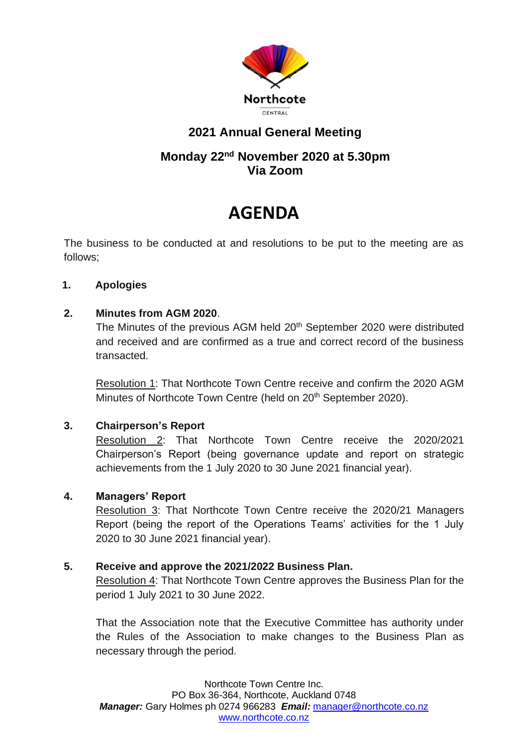

## **2021 Annual General Meeting**

### **Monday 22nd November 2020 at 5.30pm Via Zoom**

# **AGENDA**

The business to be conducted at and resolutions to be put to the meeting are as follows;

#### **1. Apologies**

#### **2. Minutes from AGM 2020**.

The Minutes of the previous AGM held 20<sup>th</sup> September 2020 were distributed and received and are confirmed as a true and correct record of the business transacted.

Resolution 1: That Northcote Town Centre receive and confirm the 2020 AGM Minutes of Northcote Town Centre (held on 20<sup>th</sup> September 2020).

#### **3. Chairperson's Report**

Resolution 2: That Northcote Town Centre receive the 2020/2021 Chairperson's Report (being governance update and report on strategic achievements from the 1 July 2020 to 30 June 2021 financial year).

#### **4. Managers' Report**

Resolution 3: That Northcote Town Centre receive the 2020/21 Managers Report (being the report of the Operations Teams' activities for the 1 July 2020 to 30 June 2021 financial year).

#### **5. Receive and approve the 2021/2022 Business Plan.**

Resolution 4: That Northcote Town Centre approves the Business Plan for the period 1 July 2021 to 30 June 2022.

That the Association note that the Executive Committee has authority under the Rules of the Association to make changes to the Business Plan as necessary through the period.